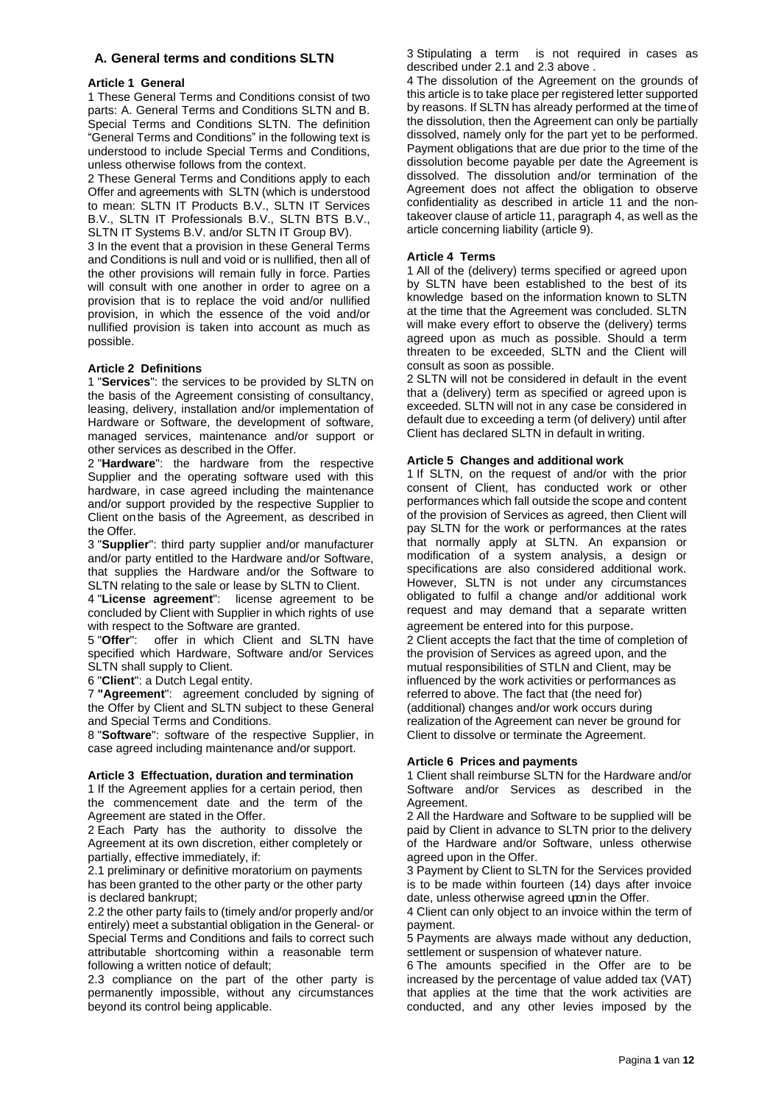# **A. General terms and conditions SLTN**

### **Article 1 General**

1 These General Terms and Conditions consist of two parts: A. General Terms and Conditions SLTN and B. Special Terms and Conditions SLTN. The definition "General Terms and Conditions" in the following text is understood to include Special Terms and Conditions, unless otherwise follows from the context.

2 These General Terms and Conditions apply to each Offer and agreements with SLTN (which is understood to mean: SLTN IT Products B.V., SLTN IT Services B.V., SLTN IT Professionals B.V., SLTN BTS B.V., SLTN IT Systems B.V. and/or SLTN IT Group BV).

3 In the event that a provision in these General Terms and Conditions is null and void or is nullified, then all of the other provisions will remain fully in force. Parties will consult with one another in order to agree on a provision that is to replace the void and/or nullified provision, in which the essence of the void and/or nullified provision is taken into account as much as possible.

## **Article 2 Definitions**

1 "**Services**": the services to be provided by SLTN on the basis of the Agreement consisting of consultancy, leasing, delivery, installation and/or implementation of Hardware or Software, the development of software, managed services, maintenance and/or support or other services as described in the Offer.

2 "**Hardware**": the hardware from the respective Supplier and the operating software used with this hardware, in case agreed including the maintenance and/or support provided by the respective Supplier to Client onthe basis of the Agreement, as described in the Offer.

3 "**Supplier**": third party supplier and/or manufacturer and/or party entitled to the Hardware and/or Software, that supplies the Hardware and/or the Software to SLTN relating to the sale or lease by SLTN to Client.

4 "**License agreement**": license agreement to be concluded by Client with Supplier in which rights of use with respect to the Software are granted.

5 "**Offer**": offer in which Client and SLTN have specified which Hardware, Software and/or Services SLTN shall supply to Client.

6 "**Client**": a Dutch Legal entity.

7 **"Agreement**": agreement concluded by signing of the Offer by Client and SLTN subject to these General and Special Terms and Conditions.

8 "**Software**": software of the respective Supplier, in case agreed including maintenance and/or support.

#### **Article 3 Effectuation, duration and termination**

1 If the Agreement applies for a certain period, then the commencement date and the term of the Agreement are stated in the Offer.

2 Each Party has the authority to dissolve the Agreement at its own discretion, either completely or partially, effective immediately, if:

2.1 preliminary or definitive moratorium on payments has been granted to the other party or the other party is declared bankrupt;

2.2 the other party fails to (timely and/or properly and/or entirely) meet a substantial obligation in the General- or Special Terms and Conditions and fails to correct such attributable shortcoming within a reasonable term following a written notice of default;

2.3 compliance on the part of the other party is permanently impossible, without any circumstances beyond its control being applicable.

3 Stipulating a term is not required in cases as described under 2.1 and 2.3 above .

4 The dissolution of the Agreement on the grounds of this article is to take place per registered letter supported by reasons. If SLTN has already performed at the timeof the dissolution, then the Agreement can only be partially dissolved, namely only for the part yet to be performed. Payment obligations that are due prior to the time of the dissolution become payable per date the Agreement is dissolved. The dissolution and/or termination of the Agreement does not affect the obligation to observe confidentiality as described in article 11 and the nontakeover clause of article 11, paragraph 4, as well as the article concerning liability (article 9).

## **Article 4 Terms**

1 All of the (delivery) terms specified or agreed upon by SLTN have been established to the best of its knowledge based on the information known to SLTN at the time that the Agreement was concluded. SLTN will make every effort to observe the (delivery) terms agreed upon as much as possible. Should a term threaten to be exceeded, SLTN and the Client will consult as soon as possible.

2 SLTN will not be considered in default in the event that a (delivery) term as specified or agreed upon is exceeded. SLTN will not in any case be considered in default due to exceeding a term (of delivery) until after Client has declared SLTN in default in writing.

#### **Article 5 Changes and additional work**

1 If SLTN, on the request of and/or with the prior consent of Client, has conducted work or other performances which fall outside the scope and content of the provision of Services as agreed, then Client will pay SLTN for the work or performances at the rates that normally apply at SLTN. An expansion or modification of a system analysis, a design or specifications are also considered additional work. However, SLTN is not under any circumstances obligated to fulfil a change and/or additional work request and may demand that a separate written agreement be entered into for this purpose.

2 Client accepts the fact that the time of completion of the provision of Services as agreed upon, and the mutual responsibilities of STLN and Client, may be influenced by the work activities or performances as referred to above. The fact that (the need for) (additional) changes and/or work occurs during realization of the Agreement can never be ground for Client to dissolve or terminate the Agreement.

#### **Article 6 Prices and payments**

1 Client shall reimburse SLTN for the Hardware and/or Software and/or Services as described in the Agreement.

2 All the Hardware and Software to be supplied will be paid by Client in advance to SLTN prior to the delivery of the Hardware and/or Software, unless otherwise agreed upon in the Offer.

3 Payment by Client to SLTN for the Services provided is to be made within fourteen (14) days after invoice date, unless otherwise agreed upon the Offer.

4 Client can only object to an invoice within the term of payment.

5 Payments are always made without any deduction, settlement or suspension of whatever nature.

6 The amounts specified in the Offer are to be increased by the percentage of value added tax (VAT) that applies at the time that the work activities are conducted, and any other levies imposed by the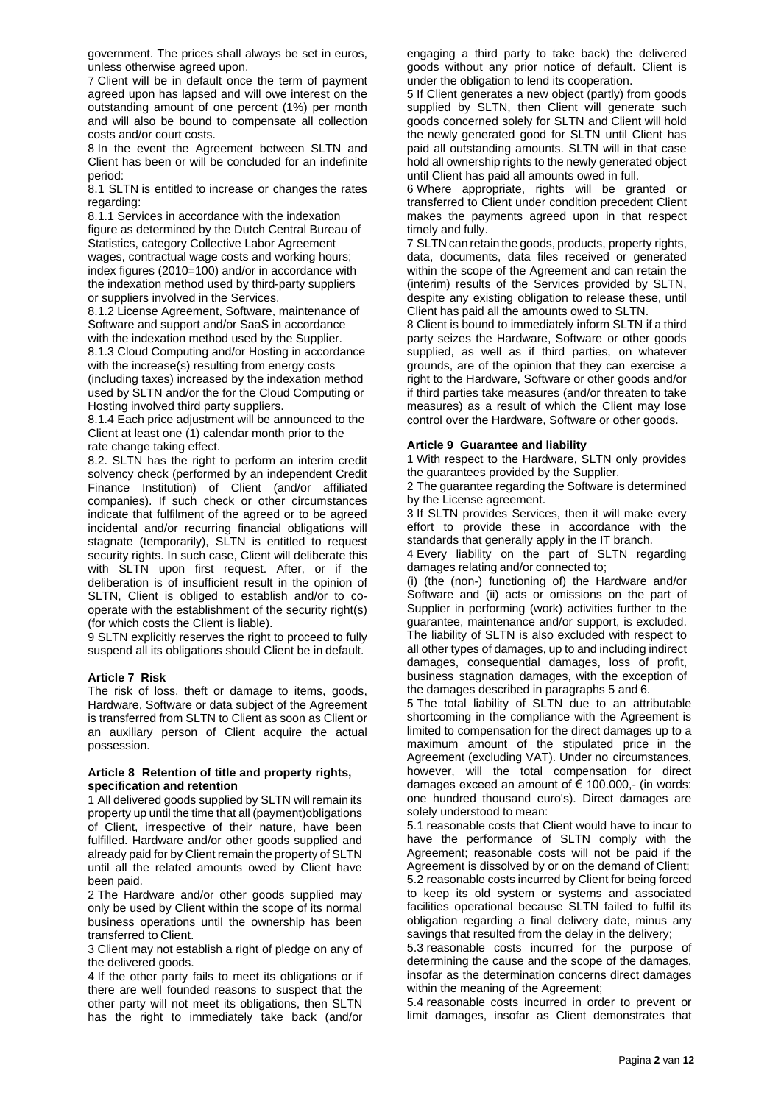government. The prices shall always be set in euros, unless otherwise agreed upon.

7 Client will be in default once the term of payment agreed upon has lapsed and will owe interest on the outstanding amount of one percent (1%) per month and will also be bound to compensate all collection costs and/or court costs.

8 In the event the Agreement between SLTN and Client has been or will be concluded for an indefinite period:

8.1 SLTN is entitled to increase or changes the rates regarding:

8.1.1 Services in accordance with the indexation figure as determined by the Dutch Central Bureau of Statistics, category Collective Labor Agreement wages, contractual wage costs and working hours; index figures (2010=100) and/or in accordance with the indexation method used by third-party suppliers or suppliers involved in the Services.

8.1.2 License Agreement, Software, maintenance of Software and support and/or SaaS in accordance with the indexation method used by the Supplier.

8.1.3 Cloud Computing and/or Hosting in accordance with the increase(s) resulting from energy costs

(including taxes) increased by the indexation method used by SLTN and/or the for the Cloud Computing or Hosting involved third party suppliers.

8.1.4 Each price adjustment will be announced to the Client at least one (1) calendar month prior to the rate change taking effect.

8.2. SLTN has the right to perform an interim credit solvency check (performed by an independent Credit Finance Institution) of Client (and/or affiliated companies). If such check or other circumstances indicate that fulfilment of the agreed or to be agreed incidental and/or recurring financial obligations will stagnate (temporarily), SLTN is entitled to request security rights. In such case, Client will deliberate this with SLTN upon first request. After, or if the deliberation is of insufficient result in the opinion of SLTN, Client is obliged to establish and/or to cooperate with the establishment of the security right(s) (for which costs the Client is liable).

9 SLTN explicitly reserves the right to proceed to fully suspend all its obligations should Client be in default.

#### **Article 7 Risk**

The risk of loss, theft or damage to items, goods, Hardware, Software or data subject of the Agreement is transferred from SLTN to Client as soon as Client or an auxiliary person of Client acquire the actual possession.

#### **Article 8 Retention of title and property rights, specification and retention**

1 All delivered goods supplied by SLTN will remain its property up until the time that all (payment)obligations of Client, irrespective of their nature, have been fulfilled. Hardware and/or other goods supplied and already paid for by Client remain the property of SLTN until all the related amounts owed by Client have been paid.

2 The Hardware and/or other goods supplied may only be used by Client within the scope of its normal business operations until the ownership has been transferred to Client.

3 Client may not establish a right of pledge on any of the delivered goods.

4 If the other party fails to meet its obligations or if there are well founded reasons to suspect that the other party will not meet its obligations, then SLTN has the right to immediately take back (and/or engaging a third party to take back) the delivered goods without any prior notice of default. Client is under the obligation to lend its cooperation.

5 If Client generates a new object (partly) from goods supplied by SLTN, then Client will generate such goods concerned solely for SLTN and Client will hold the newly generated good for SLTN until Client has paid all outstanding amounts. SLTN will in that case hold all ownership rights to the newly generated object until Client has paid all amounts owed in full.

6 Where appropriate, rights will be granted or transferred to Client under condition precedent Client makes the payments agreed upon in that respect timely and fully.

7 SLTN can retain the goods, products, property rights, data, documents, data files received or generated within the scope of the Agreement and can retain the (interim) results of the Services provided by SLTN, despite any existing obligation to release these, until Client has paid all the amounts owed to SLTN.

8 Client is bound to immediately inform SLTN if a third party seizes the Hardware, Software or other goods supplied, as well as if third parties, on whatever grounds, are of the opinion that they can exercise a right to the Hardware, Software or other goods and/or if third parties take measures (and/or threaten to take measures) as a result of which the Client may lose control over the Hardware, Software or other goods.

# **Article 9 Guarantee and liability**

1 With respect to the Hardware, SLTN only provides the guarantees provided by the Supplier.

2 The guarantee regarding the Software is determined by the License agreement.

3 If SLTN provides Services, then it will make every effort to provide these in accordance with the standards that generally apply in the IT branch.

4 Every liability on the part of SLTN regarding damages relating and/or connected to;

(i) (the (non-) functioning of) the Hardware and/or Software and (ii) acts or omissions on the part of Supplier in performing (work) activities further to the guarantee, maintenance and/or support, is excluded. The liability of SLTN is also excluded with respect to all other types of damages, up to and including indirect damages, consequential damages, loss of profit, business stagnation damages, with the exception of the damages described in paragraphs 5 and 6.

5 The total liability of SLTN due to an attributable shortcoming in the compliance with the Agreement is limited to compensation for the direct damages up to a maximum amount of the stipulated price in the Agreement (excluding VAT). Under no circumstances, however, will the total compensation for direct damages exceed an amount of € 100.000,- (in words: one hundred thousand euro's). Direct damages are solely understood to mean:

5.1 reasonable costs that Client would have to incur to have the performance of SLTN comply with the Agreement; reasonable costs will not be paid if the Agreement is dissolved by or on the demand of Client; 5.2 reasonable costs incurred by Client for being forced to keep its old system or systems and associated facilities operational because SLTN failed to fulfil its obligation regarding a final delivery date, minus any savings that resulted from the delay in the delivery;

5.3 reasonable costs incurred for the purpose of determining the cause and the scope of the damages, insofar as the determination concerns direct damages within the meaning of the Agreement;

5.4 reasonable costs incurred in order to prevent or limit damages, insofar as Client demonstrates that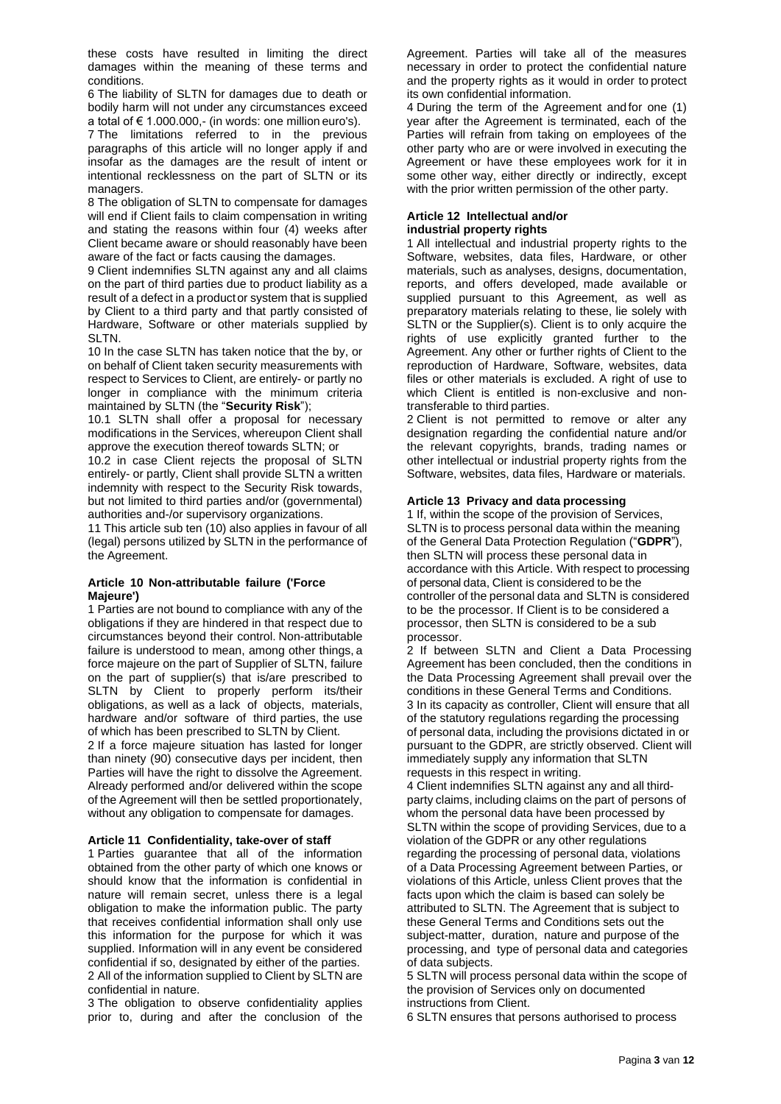these costs have resulted in limiting the direct damages within the meaning of these terms and conditions.

6 The liability of SLTN for damages due to death or bodily harm will not under any circumstances exceed a total of € 1.000.000,- (in words: one million euro's).

7 The limitations referred to in the previous paragraphs of this article will no longer apply if and insofar as the damages are the result of intent or intentional recklessness on the part of SLTN or its managers.

8 The obligation of SLTN to compensate for damages will end if Client fails to claim compensation in writing and stating the reasons within four (4) weeks after Client became aware or should reasonably have been aware of the fact or facts causing the damages.

9 Client indemnifies SLTN against any and all claims on the part of third parties due to product liability as a result of a defect in a product or system that is supplied by Client to a third party and that partly consisted of Hardware, Software or other materials supplied by SLTN.

10 In the case SLTN has taken notice that the by, or on behalf of Client taken security measurements with respect to Services to Client, are entirely- or partly no longer in compliance with the minimum criteria maintained by SLTN (the "**Security Risk**");

10.1 SLTN shall offer a proposal for necessary modifications in the Services, whereupon Client shall approve the execution thereof towards SLTN; or

10.2 in case Client rejects the proposal of SLTN entirely- or partly, Client shall provide SLTN a written indemnity with respect to the Security Risk towards, but not limited to third parties and/or (governmental) authorities and-/or supervisory organizations.

11 This article sub ten (10) also applies in favour of all (legal) persons utilized by SLTN in the performance of the Agreement.

#### **Article 10 Non-attributable failure ('Force Majeure')**

1 Parties are not bound to compliance with any of the obligations if they are hindered in that respect due to circumstances beyond their control. Non-attributable failure is understood to mean, among other things, a force majeure on the part of Supplier of SLTN, failure on the part of supplier(s) that is/are prescribed to SLTN by Client to properly perform its/their obligations, as well as a lack of objects, materials, hardware and/or software of third parties, the use of which has been prescribed to SLTN by Client.

2 If a force majeure situation has lasted for longer than ninety (90) consecutive days per incident, then Parties will have the right to dissolve the Agreement. Already performed and/or delivered within the scope of the Agreement will then be settled proportionately, without any obligation to compensate for damages.

### **Article 11 Confidentiality, take-over of staff**

1 Parties guarantee that all of the information obtained from the other party of which one knows or should know that the information is confidential in nature will remain secret, unless there is a legal obligation to make the information public. The party that receives confidential information shall only use this information for the purpose for which it was supplied. Information will in any event be considered confidential if so, designated by either of the parties. 2 All of the information supplied to Client by SLTN are confidential in nature.

3 The obligation to observe confidentiality applies prior to, during and after the conclusion of the

Agreement. Parties will take all of the measures necessary in order to protect the confidential nature and the property rights as it would in order to protect its own confidential information.

4 During the term of the Agreement and for one (1) year after the Agreement is terminated, each of the Parties will refrain from taking on employees of the other party who are or were involved in executing the Agreement or have these employees work for it in some other way, either directly or indirectly, except with the prior written permission of the other party.

#### **Article 12 Intellectual and/or industrial property rights**

1 All intellectual and industrial property rights to the Software, websites, data files, Hardware, or other materials, such as analyses, designs, documentation, reports, and offers developed, made available or supplied pursuant to this Agreement, as well as preparatory materials relating to these, lie solely with SLTN or the Supplier(s). Client is to only acquire the rights of use explicitly granted further to the Agreement. Any other or further rights of Client to the reproduction of Hardware, Software, websites, data files or other materials is excluded. A right of use to which Client is entitled is non-exclusive and nontransferable to third parties.

2 Client is not permitted to remove or alter any designation regarding the confidential nature and/or the relevant copyrights, brands, trading names or other intellectual or industrial property rights from the Software, websites, data files, Hardware or materials.

# **Article 13 Privacy and data processing**

1 If, within the scope of the provision of Services, SLTN is to process personal data within the meaning of the General Data Protection Regulation ("**GDPR**"), then SLTN will process these personal data in accordance with this Article. With respect to processing of personal data, Client is considered to be the controller of the personal data and SLTN is considered to be the processor. If Client is to be considered a processor, then SLTN is considered to be a sub processor.

2 If between SLTN and Client a Data Processing Agreement has been concluded, then the conditions in the Data Processing Agreement shall prevail over the conditions in these General Terms and Conditions. 3 In its capacity as controller, Client will ensure that all of the statutory regulations regarding the processing of personal data, including the provisions dictated in or pursuant to the GDPR, are strictly observed. Client will immediately supply any information that SLTN requests in this respect in writing.

4 Client indemnifies SLTN against any and all thirdparty claims, including claims on the part of persons of whom the personal data have been processed by SLTN within the scope of providing Services, due to a violation of the GDPR or any other regulations regarding the processing of personal data, violations of a Data Processing Agreement between Parties, or violations of this Article, unless Client proves that the facts upon which the claim is based can solely be attributed to SLTN. The Agreement that is subject to these General Terms and Conditions sets out the subject-matter, duration, nature and purpose of the processing, and type of personal data and categories of data subjects.

5 SLTN will process personal data within the scope of the provision of Services only on documented instructions from Client.

6 SLTN ensures that persons authorised to process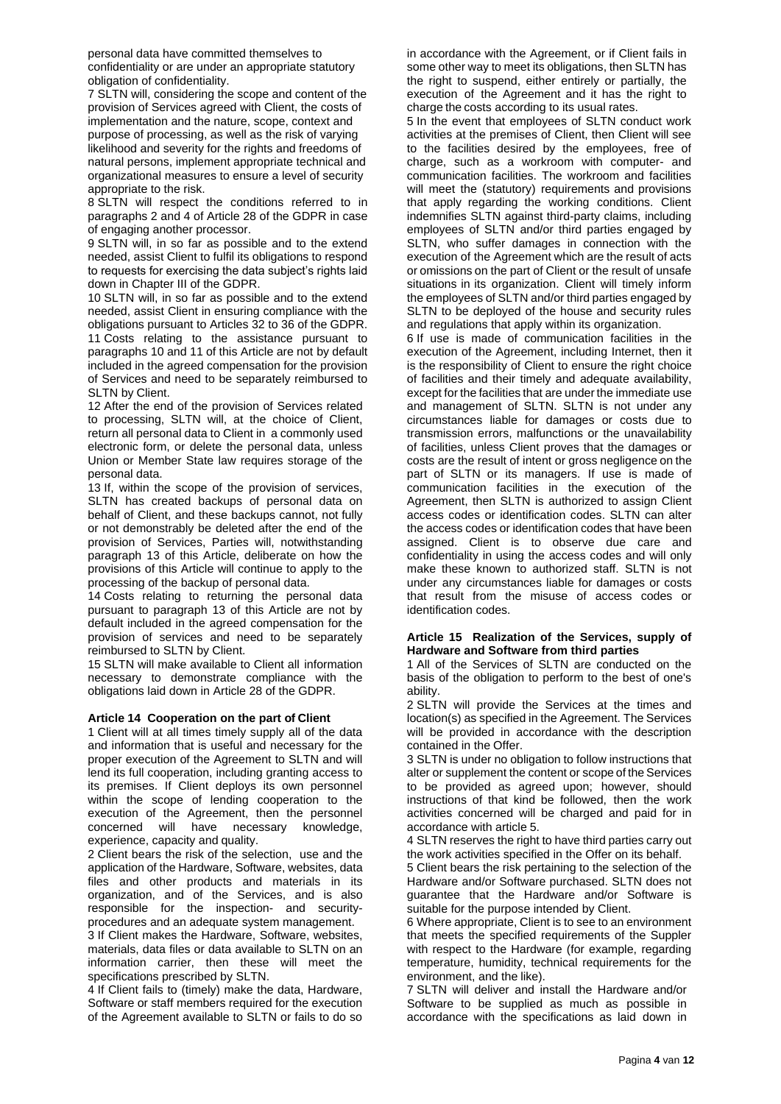personal data have committed themselves to confidentiality or are under an appropriate statutory obligation of confidentiality.

7 SLTN will, considering the scope and content of the provision of Services agreed with Client, the costs of implementation and the nature, scope, context and purpose of processing, as well as the risk of varying likelihood and severity for the rights and freedoms of natural persons, implement appropriate technical and organizational measures to ensure a level of security appropriate to the risk.

8 SLTN will respect the conditions referred to in paragraphs 2 and 4 of Article 28 of the GDPR in case of engaging another processor.

9 SLTN will, in so far as possible and to the extend needed, assist Client to fulfil its obligations to respond to requests for exercising the data subject's rights laid down in Chapter III of the GDPR.

10 SLTN will, in so far as possible and to the extend needed, assist Client in ensuring compliance with the obligations pursuant to Articles 32 to 36 of the GDPR. 11 Costs relating to the assistance pursuant to paragraphs 10 and 11 of this Article are not by default included in the agreed compensation for the provision of Services and need to be separately reimbursed to SLTN by Client.

12 After the end of the provision of Services related to processing, SLTN will, at the choice of Client, return all personal data to Client in a commonly used electronic form, or delete the personal data, unless Union or Member State law requires storage of the personal data.

13 If, within the scope of the provision of services, SLTN has created backups of personal data on behalf of Client, and these backups cannot, not fully or not demonstrably be deleted after the end of the provision of Services, Parties will, notwithstanding paragraph 13 of this Article, deliberate on how the provisions of this Article will continue to apply to the processing of the backup of personal data.

14 Costs relating to returning the personal data pursuant to paragraph 13 of this Article are not by default included in the agreed compensation for the provision of services and need to be separately reimbursed to SLTN by Client.

15 SLTN will make available to Client all information necessary to demonstrate compliance with the obligations laid down in Article 28 of the GDPR.

#### **Article 14 Cooperation on the part of Client**

1 Client will at all times timely supply all of the data and information that is useful and necessary for the proper execution of the Agreement to SLTN and will lend its full cooperation, including granting access to its premises. If Client deploys its own personnel within the scope of lending cooperation to the execution of the Agreement, then the personnel concerned will have necessary knowledge, experience, capacity and quality.

2 Client bears the risk of the selection, use and the application of the Hardware, Software, websites, data files and other products and materials in its organization, and of the Services, and is also responsible for the inspection- and securityprocedures and an adequate system management.

3 If Client makes the Hardware, Software, websites, materials, data files or data available to SLTN on an information carrier, then these will meet the specifications prescribed by SLTN.

4 If Client fails to (timely) make the data, Hardware, Software or staff members required for the execution of the Agreement available to SLTN or fails to do so in accordance with the Agreement, or if Client fails in some other way to meet its obligations, then SLTN has the right to suspend, either entirely or partially, the execution of the Agreement and it has the right to charge the costs according to its usual rates.

5 In the event that employees of SLTN conduct work activities at the premises of Client, then Client will see to the facilities desired by the employees, free of charge, such as a workroom with computer- and communication facilities. The workroom and facilities will meet the (statutory) requirements and provisions that apply regarding the working conditions. Client indemnifies SLTN against third-party claims, including employees of SLTN and/or third parties engaged by SLTN, who suffer damages in connection with the execution of the Agreement which are the result of acts or omissions on the part of Client or the result of unsafe situations in its organization. Client will timely inform the employees of SLTN and/or third parties engaged by SLTN to be deployed of the house and security rules and regulations that apply within its organization.

6 If use is made of communication facilities in the execution of the Agreement, including Internet, then it is the responsibility of Client to ensure the right choice of facilities and their timely and adequate availability, except for the facilities that are under the immediate use and management of SLTN. SLTN is not under any circumstances liable for damages or costs due to transmission errors, malfunctions or the unavailability of facilities, unless Client proves that the damages or costs are the result of intent or gross negligence on the part of SLTN or its managers. If use is made of communication facilities in the execution of the Agreement, then SLTN is authorized to assign Client access codes or identification codes. SLTN can alter the access codes or identification codes that have been assigned. Client is to observe due care and confidentiality in using the access codes and will only make these known to authorized staff. SLTN is not under any circumstances liable for damages or costs that result from the misuse of access codes or identification codes.

#### **Article 15 Realization of the Services, supply of Hardware and Software from third parties**

1 All of the Services of SLTN are conducted on the basis of the obligation to perform to the best of one's ability.

2 SLTN will provide the Services at the times and location(s) as specified in the Agreement. The Services will be provided in accordance with the description contained in the Offer.

3 SLTN is under no obligation to follow instructions that alter or supplement the content or scope of the Services to be provided as agreed upon; however, should instructions of that kind be followed, then the work activities concerned will be charged and paid for in accordance with article 5.

4 SLTN reserves the right to have third parties carry out the work activities specified in the Offer on its behalf.

5 Client bears the risk pertaining to the selection of the Hardware and/or Software purchased. SLTN does not guarantee that the Hardware and/or Software is suitable for the purpose intended by Client.

6 Where appropriate, Client is to see to an environment that meets the specified requirements of the Suppler with respect to the Hardware (for example, regarding temperature, humidity, technical requirements for the environment, and the like).

7 SLTN will deliver and install the Hardware and/or Software to be supplied as much as possible in accordance with the specifications as laid down in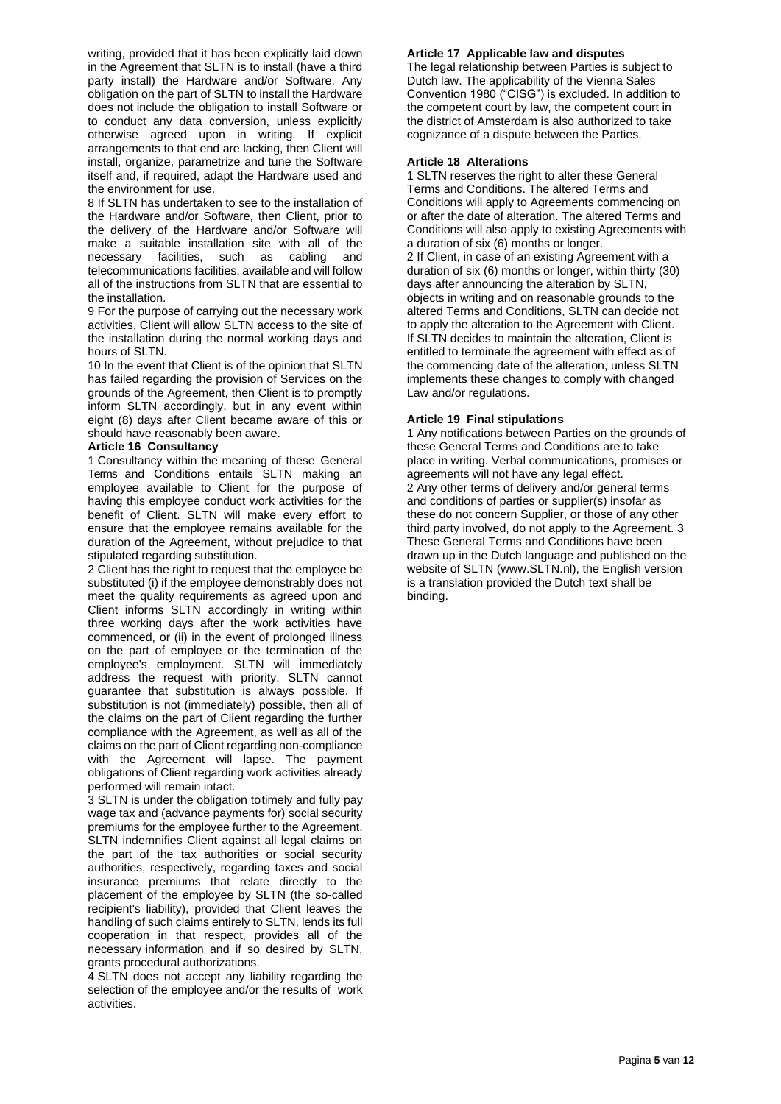writing, provided that it has been explicitly laid down in the Agreement that SLTN is to install (have a third party install) the Hardware and/or Software. Any obligation on the part of SLTN to install the Hardware does not include the obligation to install Software or to conduct any data conversion, unless explicitly otherwise agreed upon in writing. If explicit arrangements to that end are lacking, then Client will install, organize, parametrize and tune the Software itself and, if required, adapt the Hardware used and the environment for use.

8 If SLTN has undertaken to see to the installation of the Hardware and/or Software, then Client, prior to the delivery of the Hardware and/or Software will make a suitable installation site with all of the necessary facilities, such as cabling and telecommunications facilities, available and will follow all of the instructions from SLTN that are essential to the installation.

9 For the purpose of carrying out the necessary work activities, Client will allow SLTN access to the site of the installation during the normal working days and hours of SLTN.

10 In the event that Client is of the opinion that SLTN has failed regarding the provision of Services on the grounds of the Agreement, then Client is to promptly inform SLTN accordingly, but in any event within eight (8) days after Client became aware of this or should have reasonably been aware.

#### **Article 16 Consultancy**

1 Consultancy within the meaning of these General Terms and Conditions entails SLTN making an employee available to Client for the purpose of having this employee conduct work activities for the benefit of Client. SLTN will make every effort to ensure that the employee remains available for the duration of the Agreement, without prejudice to that stipulated regarding substitution.

2 Client has the right to request that the employee be substituted (i) if the employee demonstrably does not meet the quality requirements as agreed upon and Client informs SLTN accordingly in writing within three working days after the work activities have commenced, or (ii) in the event of prolonged illness on the part of employee or the termination of the employee's employment. SLTN will immediately address the request with priority. SLTN cannot guarantee that substitution is always possible. If substitution is not (immediately) possible, then all of the claims on the part of Client regarding the further compliance with the Agreement, as well as all of the claims on the part of Client regarding non-compliance with the Agreement will lapse. The payment obligations of Client regarding work activities already performed will remain intact.

3 SLTN is under the obligation totimely and fully pay wage tax and (advance payments for) social security premiums for the employee further to the Agreement. SLTN indemnifies Client against all legal claims on the part of the tax authorities or social security authorities, respectively, regarding taxes and social insurance premiums that relate directly to the placement of the employee by SLTN (the so-called recipient's liability), provided that Client leaves the handling of such claims entirely to SLTN, lends its full cooperation in that respect, provides all of the necessary information and if so desired by SLTN, grants procedural authorizations.

4 SLTN does not accept any liability regarding the selection of the employee and/or the results of work activities.

# **Article 17 Applicable law and disputes**

The legal relationship between Parties is subject to Dutch law. The applicability of the Vienna Sales Convention 1980 ("CISG") is excluded. In addition to the competent court by law, the competent court in the district of Amsterdam is also authorized to take cognizance of a dispute between the Parties.

## **Article 18 Alterations**

1 SLTN reserves the right to alter these General Terms and Conditions. The altered Terms and Conditions will apply to Agreements commencing on or after the date of alteration. The altered Terms and Conditions will also apply to existing Agreements with a duration of six (6) months or longer. 2 If Client, in case of an existing Agreement with a duration of six (6) months or longer, within thirty (30) days after announcing the alteration by SLTN, objects in writing and on reasonable grounds to the altered Terms and Conditions, SLTN can decide not to apply the alteration to the Agreement with Client. If SLTN decides to maintain the alteration, Client is entitled to terminate the agreement with effect as of the commencing date of the alteration, unless SLTN implements these changes to comply with changed Law and/or regulations.

# **Article 19 Final stipulations**

1 Any notifications between Parties on the grounds of these General Terms and Conditions are to take place in writing. Verbal communications, promises or agreements will not have any legal effect. 2 Any other terms of delivery and/or general terms and conditions of parties or supplier(s) insofar as these do not concern Supplier, or those of any other third party involved, do not apply to the Agreement. 3 These General Terms and Conditions have been drawn up in the Dutch language and published on the website of SLTN (www.SLTN.nl), the English version is a translation provided the Dutch text shall be binding.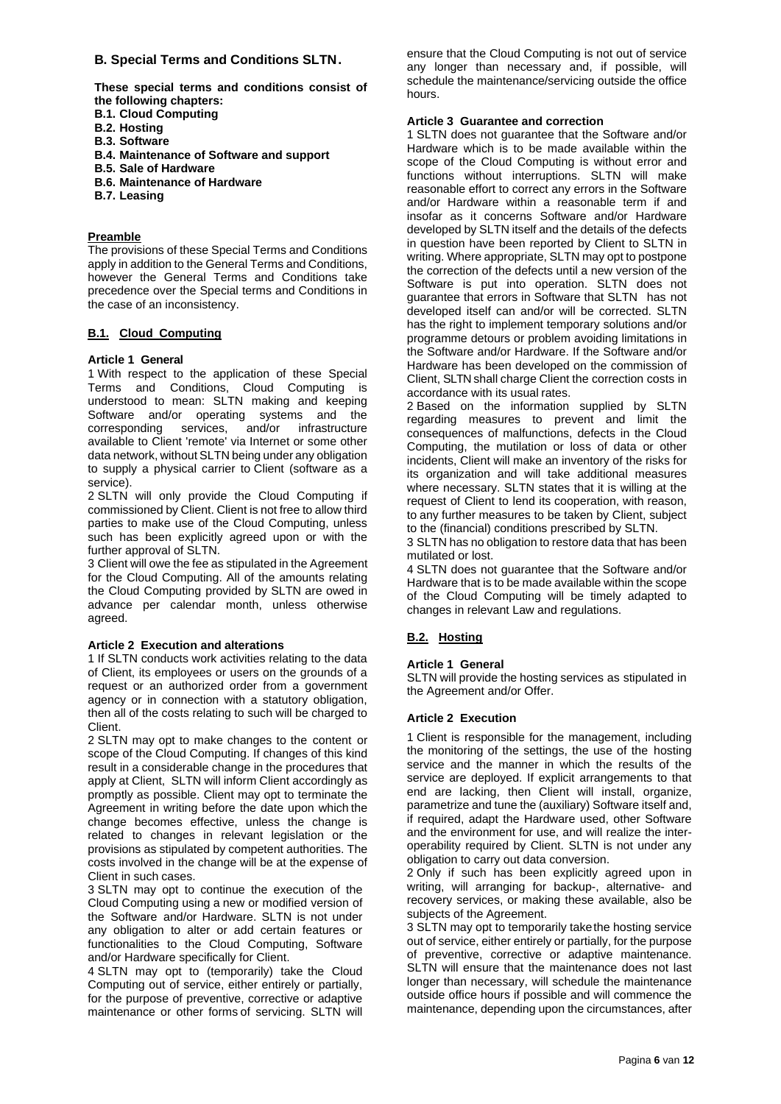# **B. Special Terms and Conditions SLTN.**

**These special terms and conditions consist of the following chapters:**

- **B.1. Cloud Computing**
- **B.2. Hosting**
- **B.3. Software**
- **B.4. Maintenance of Software and support**
- **B.5. Sale of Hardware**
- **B.6. Maintenance of Hardware**
- **B.7. Leasing**

## **Preamble**

The provisions of these Special Terms and Conditions apply in addition to the General Terms and Conditions, however the General Terms and Conditions take precedence over the Special terms and Conditions in the case of an inconsistency.

# **B.1. Cloud Computing**

## **Article 1 General**

1 With respect to the application of these Special Terms and Conditions, Cloud Computing is understood to mean: SLTN making and keeping Software and/or operating systems and the<br>corresponding services, and/or infrastructure corresponding services, and/or infrastructure available to Client 'remote' via Internet or some other data network, without SLTN being under any obligation to supply a physical carrier to Client (software as a service).

2 SLTN will only provide the Cloud Computing if commissioned by Client. Client is not free to allow third parties to make use of the Cloud Computing, unless such has been explicitly agreed upon or with the further approval of SLTN.

3 Client will owe the fee as stipulated in the Agreement for the Cloud Computing. All of the amounts relating the Cloud Computing provided by SLTN are owed in advance per calendar month, unless otherwise agreed.

#### **Article 2 Execution and alterations**

1 If SLTN conducts work activities relating to the data of Client, its employees or users on the grounds of a request or an authorized order from a government agency or in connection with a statutory obligation, then all of the costs relating to such will be charged to Client.

2 SLTN may opt to make changes to the content or scope of the Cloud Computing. If changes of this kind result in a considerable change in the procedures that apply at Client, SLTN will inform Client accordingly as promptly as possible. Client may opt to terminate the Agreement in writing before the date upon which the change becomes effective, unless the change is related to changes in relevant legislation or the provisions as stipulated by competent authorities. The costs involved in the change will be at the expense of Client in such cases.

3 SLTN may opt to continue the execution of the Cloud Computing using a new or modified version of the Software and/or Hardware. SLTN is not under any obligation to alter or add certain features or functionalities to the Cloud Computing, Software and/or Hardware specifically for Client.

4 SLTN may opt to (temporarily) take the Cloud Computing out of service, either entirely or partially, for the purpose of preventive, corrective or adaptive maintenance or other forms of servicing. SLTN will ensure that the Cloud Computing is not out of service any longer than necessary and, if possible, will schedule the maintenance/servicing outside the office hours.

## **Article 3 Guarantee and correction**

1 SLTN does not guarantee that the Software and/or Hardware which is to be made available within the scope of the Cloud Computing is without error and functions without interruptions. SLTN will make reasonable effort to correct any errors in the Software and/or Hardware within a reasonable term if and insofar as it concerns Software and/or Hardware developed by SLTN itself and the details of the defects in question have been reported by Client to SLTN in writing. Where appropriate, SLTN may opt to postpone the correction of the defects until a new version of the Software is put into operation. SLTN does not guarantee that errors in Software that SLTN has not developed itself can and/or will be corrected. SLTN has the right to implement temporary solutions and/or programme detours or problem avoiding limitations in the Software and/or Hardware. If the Software and/or Hardware has been developed on the commission of Client, SLTN shall charge Client the correction costs in accordance with its usual rates.

2 Based on the information supplied by SLTN regarding measures to prevent and limit the consequences of malfunctions, defects in the Cloud Computing, the mutilation or loss of data or other incidents, Client will make an inventory of the risks for its organization and will take additional measures where necessary. SLTN states that it is willing at the request of Client to lend its cooperation, with reason, to any further measures to be taken by Client, subject to the (financial) conditions prescribed by SLTN.

3 SLTN has no obligation to restore data that has been mutilated or lost.

4 SLTN does not guarantee that the Software and/or Hardware that is to be made available within the scope of the Cloud Computing will be timely adapted to changes in relevant Law and regulations.

# **B.2. Hosting**

## **Article 1 General**

SLTN will provide the hosting services as stipulated in the Agreement and/or Offer.

#### **Article 2 Execution**

1 Client is responsible for the management, including the monitoring of the settings, the use of the hosting service and the manner in which the results of the service are deployed. If explicit arrangements to that end are lacking, then Client will install, organize, parametrize and tune the (auxiliary) Software itself and, if required, adapt the Hardware used, other Software and the environment for use, and will realize the interoperability required by Client. SLTN is not under any obligation to carry out data conversion.

2 Only if such has been explicitly agreed upon in writing, will arranging for backup-, alternative- and recovery services, or making these available, also be subjects of the Agreement.

3 SLTN may opt to temporarily takethe hosting service out of service, either entirely or partially, for the purpose of preventive, corrective or adaptive maintenance. SLTN will ensure that the maintenance does not last longer than necessary, will schedule the maintenance outside office hours if possible and will commence the maintenance, depending upon the circumstances, after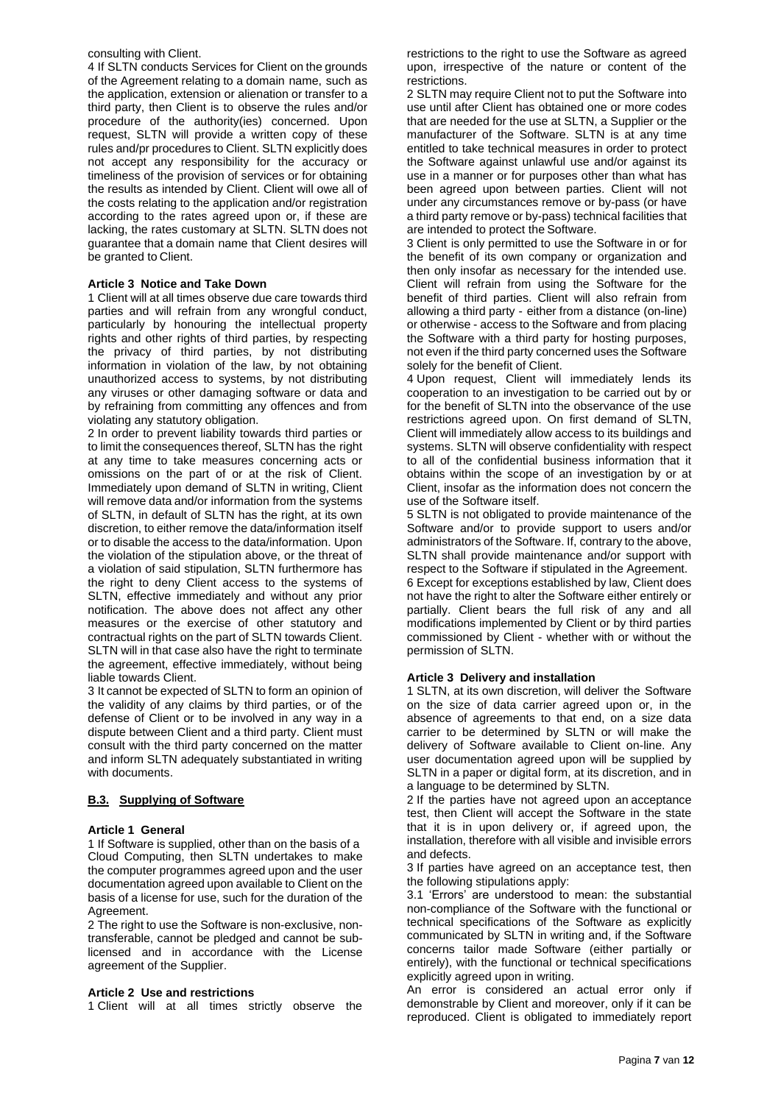#### consulting with Client.

4 If SLTN conducts Services for Client on the grounds of the Agreement relating to a domain name, such as the application, extension or alienation or transfer to a third party, then Client is to observe the rules and/or procedure of the authority(ies) concerned. Upon request, SLTN will provide a written copy of these rules and/pr procedures to Client. SLTN explicitly does not accept any responsibility for the accuracy or timeliness of the provision of services or for obtaining the results as intended by Client. Client will owe all of the costs relating to the application and/or registration according to the rates agreed upon or, if these are lacking, the rates customary at SLTN. SLTN does not guarantee that a domain name that Client desires will be granted to Client.

#### **Article 3 Notice and Take Down**

1 Client will at all times observe due care towards third parties and will refrain from any wrongful conduct, particularly by honouring the intellectual property rights and other rights of third parties, by respecting the privacy of third parties, by not distributing information in violation of the law, by not obtaining unauthorized access to systems, by not distributing any viruses or other damaging software or data and by refraining from committing any offences and from violating any statutory obligation.

2 In order to prevent liability towards third parties or to limit the consequences thereof, SLTN has the right at any time to take measures concerning acts or omissions on the part of or at the risk of Client. Immediately upon demand of SLTN in writing, Client will remove data and/or information from the systems of SLTN, in default of SLTN has the right, at its own discretion, to either remove the data/information itself or to disable the access to the data/information. Upon the violation of the stipulation above, or the threat of a violation of said stipulation, SLTN furthermore has the right to deny Client access to the systems of SLTN, effective immediately and without any prior notification. The above does not affect any other measures or the exercise of other statutory and contractual rights on the part of SLTN towards Client. SLTN will in that case also have the right to terminate the agreement, effective immediately, without being liable towards Client.

3 It cannot be expected of SLTN to form an opinion of the validity of any claims by third parties, or of the defense of Client or to be involved in any way in a dispute between Client and a third party. Client must consult with the third party concerned on the matter and inform SLTN adequately substantiated in writing with documents.

# **B.3. Supplying of Software**

### **Article 1 General**

1 If Software is supplied, other than on the basis of a Cloud Computing, then SLTN undertakes to make the computer programmes agreed upon and the user documentation agreed upon available to Client on the basis of a license for use, such for the duration of the Agreement.

2 The right to use the Software is non-exclusive, nontransferable, cannot be pledged and cannot be sublicensed and in accordance with the License agreement of the Supplier.

#### **Article 2 Use and restrictions**

1 Client will at all times strictly observe the

restrictions to the right to use the Software as agreed upon, irrespective of the nature or content of the restrictions.

2 SLTN may require Client not to put the Software into use until after Client has obtained one or more codes that are needed for the use at SLTN, a Supplier or the manufacturer of the Software. SLTN is at any time entitled to take technical measures in order to protect the Software against unlawful use and/or against its use in a manner or for purposes other than what has been agreed upon between parties. Client will not under any circumstances remove or by-pass (or have a third party remove or by-pass) technical facilities that are intended to protect the Software.

3 Client is only permitted to use the Software in or for the benefit of its own company or organization and then only insofar as necessary for the intended use. Client will refrain from using the Software for the benefit of third parties. Client will also refrain from allowing a third party - either from a distance (on-line) or otherwise - access to the Software and from placing the Software with a third party for hosting purposes, not even if the third party concerned uses the Software solely for the benefit of Client.

4 Upon request, Client will immediately lends its cooperation to an investigation to be carried out by or for the benefit of SLTN into the observance of the use restrictions agreed upon. On first demand of SLTN, Client will immediately allow access to its buildings and systems. SLTN will observe confidentiality with respect to all of the confidential business information that it obtains within the scope of an investigation by or at Client, insofar as the information does not concern the use of the Software itself.

5 SLTN is not obligated to provide maintenance of the Software and/or to provide support to users and/or administrators of the Software. If, contrary to the above, SLTN shall provide maintenance and/or support with respect to the Software if stipulated in the Agreement. 6 Except for exceptions established by law, Client does not have the right to alter the Software either entirely or partially. Client bears the full risk of any and all modifications implemented by Client or by third parties commissioned by Client - whether with or without the permission of SLTN.

# **Article 3 Delivery and installation**

1 SLTN, at its own discretion, will deliver the Software on the size of data carrier agreed upon or, in the absence of agreements to that end, on a size data carrier to be determined by SLTN or will make the delivery of Software available to Client on-line. Any user documentation agreed upon will be supplied by SLTN in a paper or digital form, at its discretion, and in a language to be determined by SLTN.

2 If the parties have not agreed upon an acceptance test, then Client will accept the Software in the state that it is in upon delivery or, if agreed upon, the installation, therefore with all visible and invisible errors and defects.

3 If parties have agreed on an acceptance test, then the following stipulations apply:

3.1 'Errors' are understood to mean: the substantial non-compliance of the Software with the functional or technical specifications of the Software as explicitly communicated by SLTN in writing and, if the Software concerns tailor made Software (either partially or entirely), with the functional or technical specifications explicitly agreed upon in writing.

An error is considered an actual error only if demonstrable by Client and moreover, only if it can be reproduced. Client is obligated to immediately report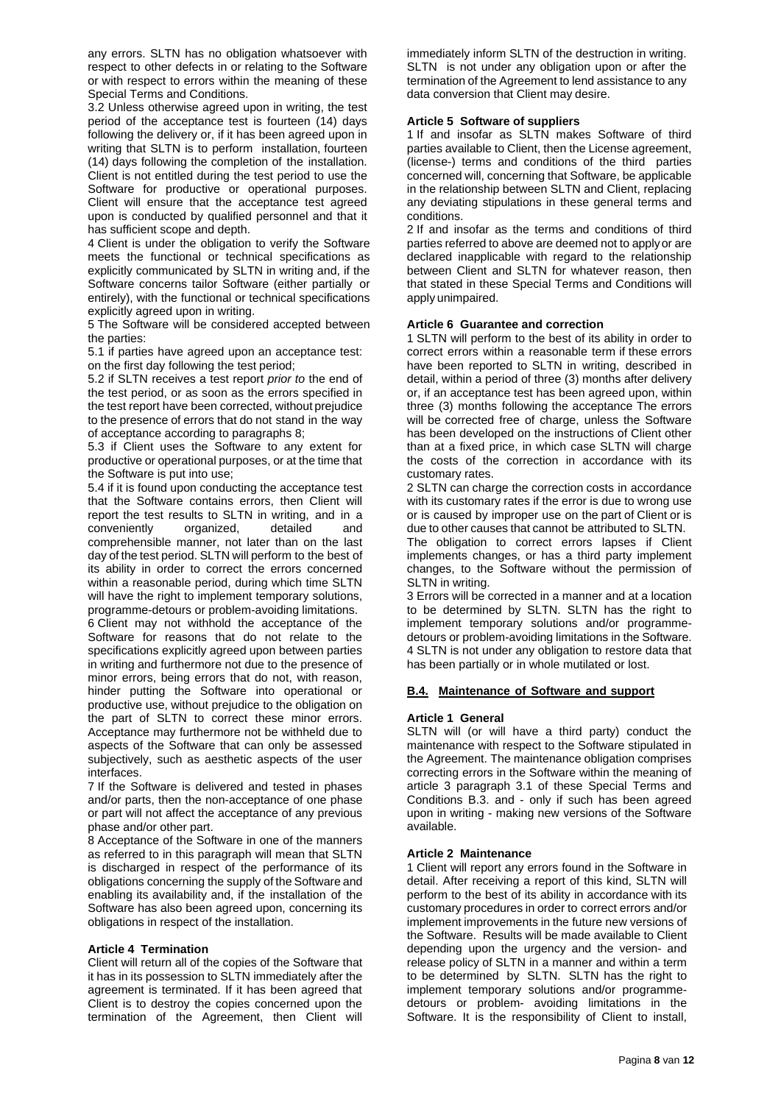any errors. SLTN has no obligation whatsoever with respect to other defects in or relating to the Software or with respect to errors within the meaning of these Special Terms and Conditions.

3.2 Unless otherwise agreed upon in writing, the test period of the acceptance test is fourteen (14) days following the delivery or, if it has been agreed upon in writing that SLTN is to perform installation, fourteen (14) days following the completion of the installation. Client is not entitled during the test period to use the Software for productive or operational purposes. Client will ensure that the acceptance test agreed upon is conducted by qualified personnel and that it has sufficient scope and depth.

4 Client is under the obligation to verify the Software meets the functional or technical specifications as explicitly communicated by SLTN in writing and, if the Software concerns tailor Software (either partially or entirely), with the functional or technical specifications explicitly agreed upon in writing.

5 The Software will be considered accepted between the parties:

5.1 if parties have agreed upon an acceptance test: on the first day following the test period;

5.2 if SLTN receives a test report *prior to* the end of the test period, or as soon as the errors specified in the test report have been corrected, without prejudice to the presence of errors that do not stand in the way of acceptance according to paragraphs 8;

5.3 if Client uses the Software to any extent for productive or operational purposes, or at the time that the Software is put into use;

5.4 if it is found upon conducting the acceptance test that the Software contains errors, then Client will report the test results to SLTN in writing, and in a conveniently organized, detailed and comprehensible manner, not later than on the last day of the test period. SLTN will perform to the best of its ability in order to correct the errors concerned within a reasonable period, during which time SLTN will have the right to implement temporary solutions, programme-detours or problem-avoiding limitations.

6 Client may not withhold the acceptance of the Software for reasons that do not relate to the specifications explicitly agreed upon between parties in writing and furthermore not due to the presence of minor errors, being errors that do not, with reason, hinder putting the Software into operational or productive use, without prejudice to the obligation on the part of SLTN to correct these minor errors. Acceptance may furthermore not be withheld due to aspects of the Software that can only be assessed subjectively, such as aesthetic aspects of the user interfaces.

7 If the Software is delivered and tested in phases and/or parts, then the non-acceptance of one phase or part will not affect the acceptance of any previous phase and/or other part.

8 Acceptance of the Software in one of the manners as referred to in this paragraph will mean that SLTN is discharged in respect of the performance of its obligations concerning the supply of the Software and enabling its availability and, if the installation of the Software has also been agreed upon, concerning its obligations in respect of the installation.

#### **Article 4 Termination**

Client will return all of the copies of the Software that it has in its possession to SLTN immediately after the agreement is terminated. If it has been agreed that Client is to destroy the copies concerned upon the termination of the Agreement, then Client will immediately inform SLTN of the destruction in writing. SLTN is not under any obligation upon or after the termination of the Agreement to lend assistance to any data conversion that Client may desire.

### **Article 5 Software of suppliers**

1 If and insofar as SLTN makes Software of third parties available to Client, then the License agreement, (license-) terms and conditions of the third parties concerned will, concerning that Software, be applicable in the relationship between SLTN and Client, replacing any deviating stipulations in these general terms and conditions.

2 If and insofar as the terms and conditions of third parties referred to above are deemed not to applyor are declared inapplicable with regard to the relationship between Client and SLTN for whatever reason, then that stated in these Special Terms and Conditions will apply unimpaired.

#### **Article 6 Guarantee and correction**

1 SLTN will perform to the best of its ability in order to correct errors within a reasonable term if these errors have been reported to SLTN in writing, described in detail, within a period of three (3) months after delivery or, if an acceptance test has been agreed upon, within three (3) months following the acceptance The errors will be corrected free of charge, unless the Software has been developed on the instructions of Client other than at a fixed price, in which case SLTN will charge the costs of the correction in accordance with its customary rates.

2 SLTN can charge the correction costs in accordance with its customary rates if the error is due to wrong use or is caused by improper use on the part of Client or is due to other causes that cannot be attributed to SLTN.

The obligation to correct errors lapses if Client implements changes, or has a third party implement changes, to the Software without the permission of SLTN in writing.

3 Errors will be corrected in a manner and at a location to be determined by SLTN. SLTN has the right to implement temporary solutions and/or programmedetours or problem-avoiding limitations in the Software. 4 SLTN is not under any obligation to restore data that has been partially or in whole mutilated or lost.

#### **B.4. Maintenance of Software and support**

#### **Article 1 General**

SLTN will (or will have a third party) conduct the maintenance with respect to the Software stipulated in the Agreement. The maintenance obligation comprises correcting errors in the Software within the meaning of article 3 paragraph 3.1 of these Special Terms and Conditions B.3. and - only if such has been agreed upon in writing - making new versions of the Software available.

#### **Article 2 Maintenance**

1 Client will report any errors found in the Software in detail. After receiving a report of this kind, SLTN will perform to the best of its ability in accordance with its customary procedures in order to correct errors and/or implement improvements in the future new versions of the Software. Results will be made available to Client depending upon the urgency and the version- and release policy of SLTN in a manner and within a term to be determined by SLTN. SLTN has the right to implement temporary solutions and/or programmedetours or problem- avoiding limitations in the Software. It is the responsibility of Client to install,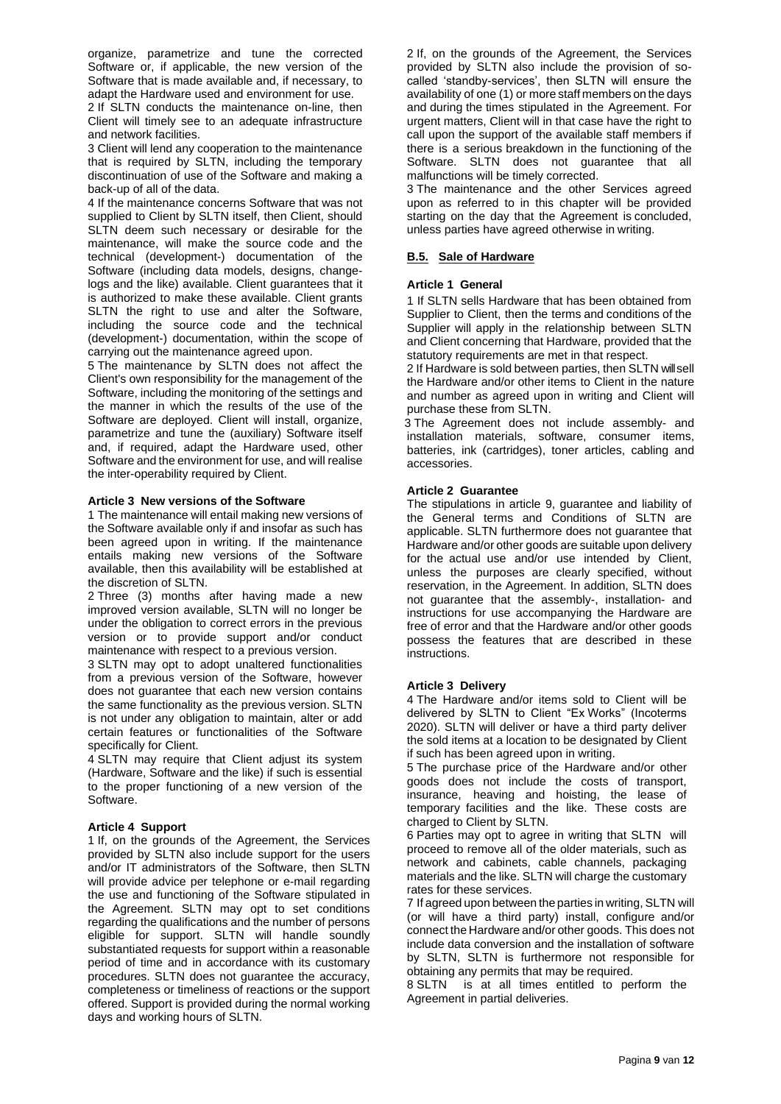organize, parametrize and tune the corrected Software or, if applicable, the new version of the Software that is made available and, if necessary, to adapt the Hardware used and environment for use.

2 If SLTN conducts the maintenance on-line, then Client will timely see to an adequate infrastructure and network facilities.

3 Client will lend any cooperation to the maintenance that is required by SLTN, including the temporary discontinuation of use of the Software and making a back-up of all of the data.

4 If the maintenance concerns Software that was not supplied to Client by SLTN itself, then Client, should SLTN deem such necessary or desirable for the maintenance, will make the source code and the technical (development-) documentation of the Software (including data models, designs, changelogs and the like) available. Client guarantees that it is authorized to make these available. Client grants SLTN the right to use and alter the Software, including the source code and the technical (development-) documentation, within the scope of carrying out the maintenance agreed upon.

5 The maintenance by SLTN does not affect the Client's own responsibility for the management of the Software, including the monitoring of the settings and the manner in which the results of the use of the Software are deployed. Client will install, organize, parametrize and tune the (auxiliary) Software itself and, if required, adapt the Hardware used, other Software and the environment for use, and will realise the inter-operability required by Client.

#### **Article 3 New versions of the Software**

1 The maintenance will entail making new versions of the Software available only if and insofar as such has been agreed upon in writing. If the maintenance entails making new versions of the Software available, then this availability will be established at the discretion of SLTN.

2 Three (3) months after having made a new improved version available, SLTN will no longer be under the obligation to correct errors in the previous version or to provide support and/or conduct maintenance with respect to a previous version.

3 SLTN may opt to adopt unaltered functionalities from a previous version of the Software, however does not guarantee that each new version contains the same functionality as the previous version. SLTN is not under any obligation to maintain, alter or add certain features or functionalities of the Software specifically for Client.

4 SLTN may require that Client adjust its system (Hardware, Software and the like) if such is essential to the proper functioning of a new version of the Software.

#### **Article 4 Support**

1 If, on the grounds of the Agreement, the Services provided by SLTN also include support for the users and/or IT administrators of the Software, then SLTN will provide advice per telephone or e-mail regarding the use and functioning of the Software stipulated in the Agreement. SLTN may opt to set conditions regarding the qualifications and the number of persons eligible for support. SLTN will handle soundly substantiated requests for support within a reasonable period of time and in accordance with its customary procedures. SLTN does not guarantee the accuracy, completeness or timeliness of reactions or the support offered. Support is provided during the normal working days and working hours of SLTN.

2 If, on the grounds of the Agreement, the Services provided by SLTN also include the provision of socalled 'standby-services', then SLTN will ensure the availability of one (1) or more staff members on the days and during the times stipulated in the Agreement. For urgent matters, Client will in that case have the right to call upon the support of the available staff members if there is a serious breakdown in the functioning of the Software. SLTN does not guarantee that all malfunctions will be timely corrected.

3 The maintenance and the other Services agreed upon as referred to in this chapter will be provided starting on the day that the Agreement is concluded, unless parties have agreed otherwise in writing.

### **B.5. Sale of Hardware**

#### **Article 1 General**

1 If SLTN sells Hardware that has been obtained from Supplier to Client, then the terms and conditions of the Supplier will apply in the relationship between SLTN and Client concerning that Hardware, provided that the statutory requirements are met in that respect.

2 If Hardware is sold between parties, then SLTN willsell the Hardware and/or other items to Client in the nature and number as agreed upon in writing and Client will purchase these from SLTN.

3 The Agreement does not include assembly- and installation materials, software, consumer items, batteries, ink (cartridges), toner articles, cabling and accessories.

#### **Article 2 Guarantee**

The stipulations in article 9, guarantee and liability of the General terms and Conditions of SLTN are applicable. SLTN furthermore does not guarantee that Hardware and/or other goods are suitable upon delivery for the actual use and/or use intended by Client, unless the purposes are clearly specified, without reservation, in the Agreement. In addition, SLTN does not guarantee that the assembly-, installation- and instructions for use accompanying the Hardware are free of error and that the Hardware and/or other goods possess the features that are described in these instructions.

#### **Article 3 Delivery**

4 The Hardware and/or items sold to Client will be delivered by SLTN to Client "Ex Works" (Incoterms 2020). SLTN will deliver or have a third party deliver the sold items at a location to be designated by Client if such has been agreed upon in writing.

5 The purchase price of the Hardware and/or other goods does not include the costs of transport, insurance, heaving and hoisting, the lease of temporary facilities and the like. These costs are charged to Client by SLTN.

6 Parties may opt to agree in writing that SLTN will proceed to remove all of the older materials, such as network and cabinets, cable channels, packaging materials and the like. SLTN will charge the customary rates for these services.

7 If agreed upon between the parties in writing, SLTN will (or will have a third party) install, configure and/or connect the Hardware and/or other goods. This does not include data conversion and the installation of software by SLTN, SLTN is furthermore not responsible for obtaining any permits that may be required.

8 SLTN is at all times entitled to perform the Agreement in partial deliveries.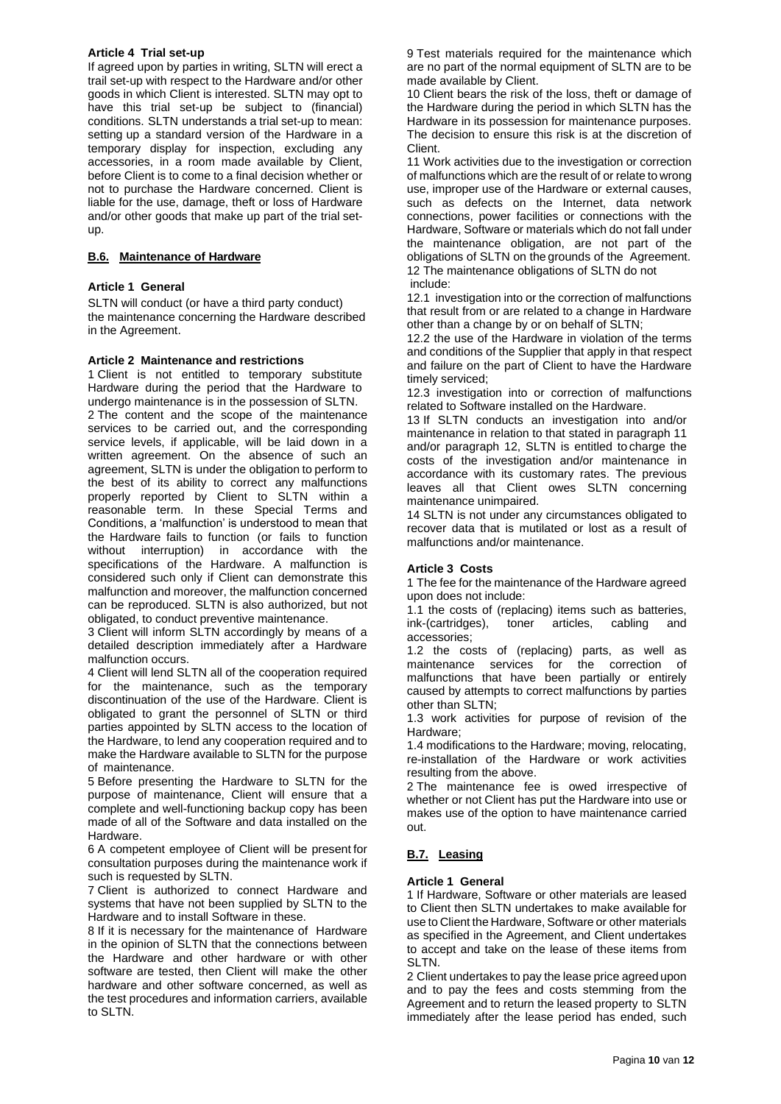# **Article 4 Trial set-up**

If agreed upon by parties in writing, SLTN will erect a trail set-up with respect to the Hardware and/or other goods in which Client is interested. SLTN may opt to have this trial set-up be subject to (financial) conditions. SLTN understands a trial set-up to mean: setting up a standard version of the Hardware in a temporary display for inspection, excluding any accessories, in a room made available by Client, before Client is to come to a final decision whether or not to purchase the Hardware concerned. Client is liable for the use, damage, theft or loss of Hardware and/or other goods that make up part of the trial setup.

## **B.6. Maintenance of Hardware**

## **Article 1 General**

SLTN will conduct (or have a third party conduct) the maintenance concerning the Hardware described in the Agreement.

#### **Article 2 Maintenance and restrictions**

1 Client is not entitled to temporary substitute Hardware during the period that the Hardware to undergo maintenance is in the possession of SLTN. 2 The content and the scope of the maintenance services to be carried out, and the corresponding service levels, if applicable, will be laid down in a written agreement. On the absence of such an agreement, SLTN is under the obligation to perform to the best of its ability to correct any malfunctions properly reported by Client to SLTN within a reasonable term. In these Special Terms and Conditions, a 'malfunction' is understood to mean that the Hardware fails to function (or fails to function without interruption) in accordance with the specifications of the Hardware. A malfunction is considered such only if Client can demonstrate this malfunction and moreover, the malfunction concerned can be reproduced. SLTN is also authorized, but not obligated, to conduct preventive maintenance.

3 Client will inform SLTN accordingly by means of a detailed description immediately after a Hardware malfunction occurs.

4 Client will lend SLTN all of the cooperation required for the maintenance, such as the temporary discontinuation of the use of the Hardware. Client is obligated to grant the personnel of SLTN or third parties appointed by SLTN access to the location of the Hardware, to lend any cooperation required and to make the Hardware available to SLTN for the purpose of maintenance.

5 Before presenting the Hardware to SLTN for the purpose of maintenance, Client will ensure that a complete and well-functioning backup copy has been made of all of the Software and data installed on the Hardware.

6 A competent employee of Client will be present for consultation purposes during the maintenance work if such is requested by SLTN.

7 Client is authorized to connect Hardware and systems that have not been supplied by SLTN to the Hardware and to install Software in these.

8 If it is necessary for the maintenance of Hardware in the opinion of SLTN that the connections between the Hardware and other hardware or with other software are tested, then Client will make the other hardware and other software concerned, as well as the test procedures and information carriers, available to SLTN.

9 Test materials required for the maintenance which are no part of the normal equipment of SLTN are to be made available by Client.

10 Client bears the risk of the loss, theft or damage of the Hardware during the period in which SLTN has the Hardware in its possession for maintenance purposes. The decision to ensure this risk is at the discretion of Client.

11 Work activities due to the investigation or correction of malfunctions which are the result of or relate to wrong use, improper use of the Hardware or external causes, such as defects on the Internet, data network connections, power facilities or connections with the Hardware, Software or materials which do not fall under the maintenance obligation, are not part of the obligations of SLTN on the grounds of the Agreement. 12 The maintenance obligations of SLTN do not include:

12.1 investigation into or the correction of malfunctions that result from or are related to a change in Hardware other than a change by or on behalf of SLTN;

12.2 the use of the Hardware in violation of the terms and conditions of the Supplier that apply in that respect and failure on the part of Client to have the Hardware timely serviced;

12.3 investigation into or correction of malfunctions related to Software installed on the Hardware.

13 If SLTN conducts an investigation into and/or maintenance in relation to that stated in paragraph 11 and/or paragraph 12, SLTN is entitled to charge the costs of the investigation and/or maintenance in accordance with its customary rates. The previous leaves all that Client owes SLTN concerning maintenance unimpaired.

14 SLTN is not under any circumstances obligated to recover data that is mutilated or lost as a result of malfunctions and/or maintenance.

# **Article 3 Costs**

1 The fee for the maintenance of the Hardware agreed upon does not include:

1.1 the costs of (replacing) items such as batteries, ink-(cartridges), toner articles, cabling and accessories;

1.2 the costs of (replacing) parts, as well as maintenance services for the correction of malfunctions that have been partially or entirely caused by attempts to correct malfunctions by parties other than SLTN;

1.3 work activities for purpose of revision of the Hardware;

1.4 modifications to the Hardware; moving, relocating, re-installation of the Hardware or work activities resulting from the above.

2 The maintenance fee is owed irrespective of whether or not Client has put the Hardware into use or makes use of the option to have maintenance carried out.

# **B.7. Leasing**

# **Article 1 General**

1 If Hardware, Software or other materials are leased to Client then SLTN undertakes to make available for use to Client the Hardware, Software or other materials as specified in the Agreement, and Client undertakes to accept and take on the lease of these items from SLTN.

2 Client undertakes to pay the lease price agreed upon and to pay the fees and costs stemming from the Agreement and to return the leased property to SLTN immediately after the lease period has ended, such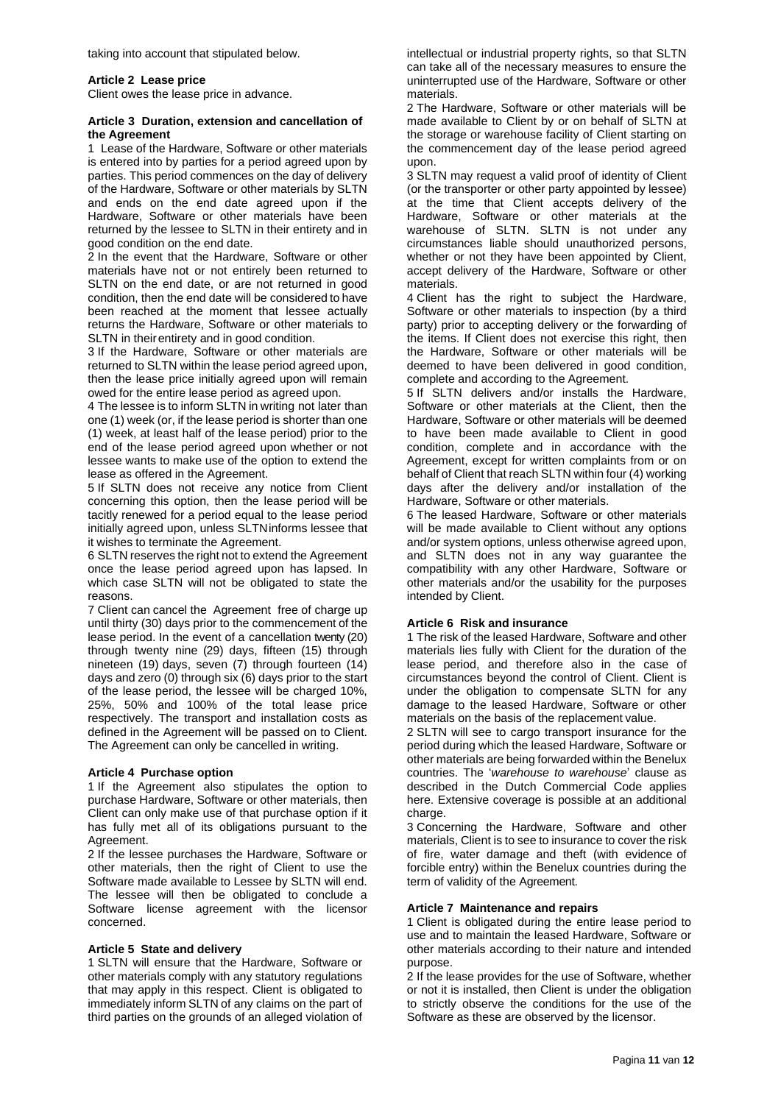taking into account that stipulated below.

#### **Article 2 Lease price**

Client owes the lease price in advance.

#### **Article 3 Duration, extension and cancellation of the Agreement**

1 Lease of the Hardware, Software or other materials is entered into by parties for a period agreed upon by parties. This period commences on the day of delivery of the Hardware, Software or other materials by SLTN and ends on the end date agreed upon if the Hardware, Software or other materials have been returned by the lessee to SLTN in their entirety and in good condition on the end date.

2 In the event that the Hardware, Software or other materials have not or not entirely been returned to SLTN on the end date, or are not returned in good condition, then the end date will be considered to have been reached at the moment that lessee actually returns the Hardware, Software or other materials to SLTN in theirentirety and in good condition.

3 If the Hardware, Software or other materials are returned to SLTN within the lease period agreed upon, then the lease price initially agreed upon will remain owed for the entire lease period as agreed upon.

4 The lessee is to inform SLTN in writing not later than one (1) week (or, if the lease period is shorter than one (1) week, at least half of the lease period) prior to the end of the lease period agreed upon whether or not lessee wants to make use of the option to extend the lease as offered in the Agreement.

5 If SLTN does not receive any notice from Client concerning this option, then the lease period will be tacitly renewed for a period equal to the lease period initially agreed upon, unless SLTNinforms lessee that it wishes to terminate the Agreement.

6 SLTN reserves the right not to extend the Agreement once the lease period agreed upon has lapsed. In which case SLTN will not be obligated to state the reasons.

7 Client can cancel the Agreement free of charge up until thirty (30) days prior to the commencement of the lease period. In the event of a cancellation twenty (20) through twenty nine (29) days, fifteen (15) through nineteen (19) days, seven (7) through fourteen (14) days and zero (0) through six (6) days prior to the start of the lease period, the lessee will be charged 10%, 25%, 50% and 100% of the total lease price respectively. The transport and installation costs as defined in the Agreement will be passed on to Client. The Agreement can only be cancelled in writing.

#### **Article 4 Purchase option**

1 If the Agreement also stipulates the option to purchase Hardware, Software or other materials, then Client can only make use of that purchase option if it has fully met all of its obligations pursuant to the Agreement.

2 If the lessee purchases the Hardware, Software or other materials, then the right of Client to use the Software made available to Lessee by SLTN will end. The lessee will then be obligated to conclude a Software license agreement with the licensor concerned.

#### **Article 5 State and delivery**

1 SLTN will ensure that the Hardware, Software or other materials comply with any statutory regulations that may apply in this respect. Client is obligated to immediately inform SLTN of any claims on the part of third parties on the grounds of an alleged violation of intellectual or industrial property rights, so that SLTN can take all of the necessary measures to ensure the uninterrupted use of the Hardware, Software or other materials.

2 The Hardware, Software or other materials will be made available to Client by or on behalf of SLTN at the storage or warehouse facility of Client starting on the commencement day of the lease period agreed upon.

3 SLTN may request a valid proof of identity of Client (or the transporter or other party appointed by lessee) at the time that Client accepts delivery of the Hardware, Software or other materials at the warehouse of SLTN. SLTN is not under any circumstances liable should unauthorized persons, whether or not they have been appointed by Client, accept delivery of the Hardware, Software or other materials.

4 Client has the right to subject the Hardware, Software or other materials to inspection (by a third party) prior to accepting delivery or the forwarding of the items. If Client does not exercise this right, then the Hardware, Software or other materials will be deemed to have been delivered in good condition, complete and according to the Agreement.

5 If SLTN delivers and/or installs the Hardware, Software or other materials at the Client, then the Hardware, Software or other materials will be deemed to have been made available to Client in good condition, complete and in accordance with the Agreement, except for written complaints from or on behalf of Client that reach SLTN within four (4) working days after the delivery and/or installation of the Hardware, Software or other materials.

6 The leased Hardware, Software or other materials will be made available to Client without any options and/or system options, unless otherwise agreed upon, and SLTN does not in any way guarantee the compatibility with any other Hardware, Software or other materials and/or the usability for the purposes intended by Client.

## **Article 6 Risk and insurance**

1 The risk of the leased Hardware, Software and other materials lies fully with Client for the duration of the lease period, and therefore also in the case of circumstances beyond the control of Client. Client is under the obligation to compensate SLTN for any damage to the leased Hardware, Software or other materials on the basis of the replacement value.

2 SLTN will see to cargo transport insurance for the period during which the leased Hardware, Software or other materials are being forwarded within the Benelux countries. The '*warehouse to warehouse*' clause as described in the Dutch Commercial Code applies here. Extensive coverage is possible at an additional charge.

3 Concerning the Hardware, Software and other materials, Client is to see to insurance to cover the risk of fire, water damage and theft (with evidence of forcible entry) within the Benelux countries during the term of validity of the Agreement.

#### **Article 7 Maintenance and repairs**

1 Client is obligated during the entire lease period to use and to maintain the leased Hardware, Software or other materials according to their nature and intended purpose.

2 If the lease provides for the use of Software, whether or not it is installed, then Client is under the obligation to strictly observe the conditions for the use of the Software as these are observed by the licensor.